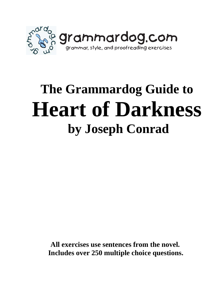

# **The Grammardog Guide to Heart of Darkness by Joseph Conrad**

 **All exercises use sentences from the novel. Includes over 250 multiple choice questions.**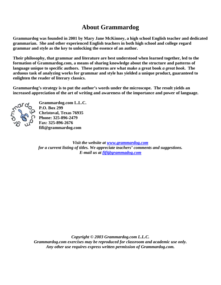# **About Grammardog**

**Grammardog was founded in 2001 by Mary Jane McKinney, a high school English teacher and dedicated grammarian. She and other experienced English teachers in both high school and college regard grammar and style as the key to unlocking the essence of an author.** 

**Their philosophy, that grammar and literature are best understood when learned together, led to the formation of Grammardog.com, a means of sharing knowledge about the structure and patterns of language unique to specific authors. These patterns are what make a great book** *a great book***. The arduous task of analyzing works for grammar and style has yielded a unique product, guaranteed to enlighten the reader of literary classics.** 

**Grammardog's strategy is to put the author's words under the microscope. The result yields an increased appreciation of the art of writing and awareness of the importance and power of language.** 



**Grammardog.com L.L.C. P.O. Box 299 Christoval, Texas 76935 Phone: 325-896-2479 Fax: 325-896-2676 fifi@grammardog.com** 

*Visit the website at www.grammardog.com for a current listing of titles. We appreciate teachers' comments and suggestions. E-mail us at fifi@grammadog.com*

*Copyright © 2003 Grammardog.com L.L.C. Grammardog.com exercises may be reproduced for classroom and academic use only. Any other use requires express written permission of Grammardog.com.*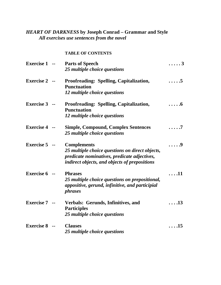## *HEART OF DARKNESS* **by Joseph Conrad – Grammar and Style**  *All exercises use sentences from the novel*

### **TABLE OF CONTENTS**

| <b>Exercise 1 --</b> | <b>Parts of Speech</b><br>25 multiple choice questions                                                                                                                 | . 3          |
|----------------------|------------------------------------------------------------------------------------------------------------------------------------------------------------------------|--------------|
| <b>Exercise 2</b>    | <b>Proofreading: Spelling, Capitalization,</b><br><b>Punctuation</b><br>12 multiple choice questions                                                                   | .5           |
| <b>Exercise 3</b>    | <b>Proofreading: Spelling, Capitalization,</b><br><b>Punctuation</b><br>12 multiple choice questions                                                                   | .6           |
| <b>Exercise 4</b>    | <b>Simple, Compound, Complex Sentences</b><br>25 multiple choice questions                                                                                             | .7           |
| <b>Exercise 5</b>    | <b>Complements</b><br>25 multiple choice questions on direct objects,<br>predicate nominatives, predicate adjectives,<br>indirect objects, and objects of prepositions | . 9          |
| <b>Exercise 6</b>    | <b>Phrases</b><br>25 multiple choice questions on prepositional,<br>appositive, gerund, infinitive, and participial<br><i>phrases</i>                                  | .11          |
| <b>Exercise 7</b>    | Verbals: Gerunds, Infinitives, and<br><b>Participles</b><br>25 multiple choice questions                                                                               | $\ldots$ .13 |
| <b>Exercise 8</b>    | <b>Clauses</b><br>25 multiple choice questions                                                                                                                         | $\ldots$ .15 |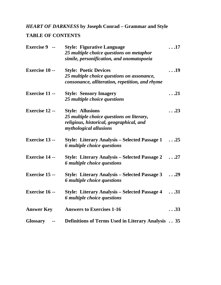## *HEART OF DARKNESS* **by Joseph Conrad – Grammar and Style**

## **TABLE OF CONTENTS**

| <b>Exercise 9 --</b>  | <b>Style: Figurative Language</b><br>25 multiple choice questions on metaphor<br>simile, personification, and onomatopoeia                 | $\ldots$ 17  |
|-----------------------|--------------------------------------------------------------------------------------------------------------------------------------------|--------------|
| <b>Exercise 10 --</b> | <b>Style: Poetic Devices</b><br>25 multiple choice questions on assonance,<br>consonance, alliteration, repetition, and rhyme              | $\ldots$ 19  |
| <b>Exercise 11 --</b> | <b>Style: Sensory Imagery</b><br>25 multiple choice questions                                                                              | $\ldots$ 21  |
| <b>Exercise 12 --</b> | <b>Style: Allusions</b><br>25 multiple choice questions on literary,<br>religious, historical, geographical, and<br>mythological allusions | $\ldots$ 23  |
| <b>Exercise 13 --</b> | <b>Style: Literary Analysis – Selected Passage 1</b><br>6 multiple choice questions                                                        | $\ldots$ .25 |
| <b>Exercise 14 --</b> | <b>Style: Literary Analysis – Selected Passage 2</b><br>6 multiple choice questions                                                        | $\ldots$ .27 |
| <b>Exercise 15 --</b> | <b>Style: Literary Analysis – Selected Passage 3</b><br>6 multiple choice questions                                                        | $\ldots$ .29 |
| <b>Exercise 16 --</b> | <b>Style: Literary Analysis – Selected Passage 4</b><br>6 multiple choice questions                                                        | $\ldots$ 31  |
| <b>Answer Key</b>     | <b>Answers to Exercises 1-16</b>                                                                                                           | $\ldots$ 33  |
| <b>Glossary</b>       | <b>Definitions of Terms Used in Literary Analysis  35</b>                                                                                  |              |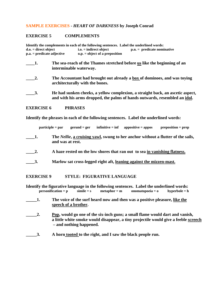#### **SAMPLE EXERCISES -** *HEART OF DARKNESS* **by Joseph Conrad**

#### **EXERCISE 5 COMPLEMENTS**

|                              |                        | Identify the complements in each of the following sentences. Label the underlined words: |                                                                                                                                                              |
|------------------------------|------------------------|------------------------------------------------------------------------------------------|--------------------------------------------------------------------------------------------------------------------------------------------------------------|
| $d.o. = direct object$       |                        | $i.o. = indirect object$                                                                 | $p.n. =$ predicate nominative                                                                                                                                |
| $p.a. = predicate$ adjective |                        | $o.p. = object of a preposition$                                                         |                                                                                                                                                              |
| 1.                           | interminable waterway. |                                                                                          | The sea-reach of the Thames stretched before us like the beginning of an                                                                                     |
| 2.                           |                        | architecturally with the bones.                                                          | The Accountant had brought out already a box of dominoes, and was toying                                                                                     |
| $\overline{3}$ .             |                        |                                                                                          | He had sunken cheeks, a yellow complexion, a straight back, an ascetic aspect,<br>and with his arms dropped, the palms of hands outwards, resembled an idol. |
| <b>EXERCISE 6</b>            | <b>PHRASES</b>         |                                                                                          |                                                                                                                                                              |

**Identify the phrases in each of the following sentences. Label the underlined words:** 

**participle = par gerund = ger infinitive = inf appositive = appos preposition = prep** 

- **\_\_\_\_1. The** *Nellie***, a cruising yawl, swung to her anchor without a flutter of the sails, and was at rest.**
- **\_\_\_\_2. A haze rested on the low shores that ran out to sea in vanishing flatness.**
- **\_\_\_\_3. Marlow sat cross-legged right aft, leaning against the mizzen-mast.**

**EXERCISE 9 STYLE: FIGURATIVE LANGUAGE** 

|                           |    |                       |                                |                | Identify the figurative language in the following sentences. Label the underlined words:   |                                                                                     |
|---------------------------|----|-----------------------|--------------------------------|----------------|--------------------------------------------------------------------------------------------|-------------------------------------------------------------------------------------|
|                           |    | $personification = p$ | $\mathbf{simile} = \mathbf{s}$ | $metaphor = m$ | $onomatopoeia = 0$                                                                         | $h$ yperbole = $h$                                                                  |
| $\overline{\mathbf{1}}$ . |    | speech of a brother.  |                                |                | The voice of the surf heard now and then was a positive pleasure, like the                 |                                                                                     |
|                           | 2. |                       | - and nothing happened.        |                | Pop, would go one of the six-inch guns; a small flame would dart and vanish,               | a little white smoke would disappear, a tiny projectile would give a feeble screech |
|                           |    |                       |                                |                | A leader to check that the column of the second of the left of the column of $\mathcal{A}$ |                                                                                     |

**11. In the Sepannish 2.1. A horn <u>tooted</u> to the right, and I saw the black people run.**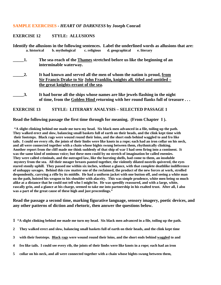#### **SAMPLE EXERCISES -** *HEART OF DARKNESS* **by Joseph Conrad**

#### **EXERCISE 12 STYLE: ALLUSIONS**

**Identify the allusions in the following sentences.** Label the underlined words as allusions that are:<br>
a. historical b. mythological c. religious d. geographical e. literary **a. historical b. mythological c. religious d. geographical e. literary** 

- **\_\_\_\_\_1. The sea-reach of the Thames stretched before us like the beginning of an interminable waterway.**
- **\_\_\_\_\_2. It had known and served all the men of whom the nation is proud, from Sir Francis Drake to Sir John Franklin, knights all, titled and untitled – the great knights-errant of the sea.**
- **3.** It had borne all the ships whose names are like jewels flashing in the night **of time, from the Golden Hind returning with her round flanks full of treasure . . .**

#### **EXERCISE 13 STYLE: LITERARY ANALYSIS – SELECTED PASSAGE 1**

#### **Read the following passage the first time through for meaning. (From Chapter I ).**

 **"A slight clinking behind me made me turn my head. Six black men advanced in a file, toiling up the path. They walked erect and slow, balancing small baskets full of earth on their heads, and the clink kept time with their footsteps. Black rags were wound round their loins, and the short ends behind waggled to and fro like tails. I could see every rib, the joints of their limbs were like knots in a rope; each had an iron collar on his neck, and all were connected together with a chain whose bights swung between them, rhythmically clinking. Another report from the cliff made me think suddenly of that ship of war I had seen firing into a continent. It was the same kind of ominous voice; but these men could by no stretch of imagination be called enemies. They were called criminals, and the outraged law, like the bursting shells, had come to them, an insoluble mystery from the sea. All their meager breasts panted together, the violently dilated nostrils quivered, the eyes stared stonily uphill. They passed me within six inches, without a glance, with that complete deathlike indifference of unhappy savages. Behind this raw matter one of the reclaimed, the product of the new forces at work, strolled despondently, carrying a rifle by its middle. He had a uniform jacket with one button off, and seeing a white man on the path, hoisted his weapon to his shoulder with alacrity. This was simple prudence, white men being so much alike at a distance that he could not tell who I might be. He was speedily reassured, and with a large, white, rascally grin, and a glance at his charge, seemed to take me into partnership in his exalted trust. After all, I also was a part of the great cause of these high and just proceedings."** 

**Read the passage a second time, marking figurative language, sensory imagery, poetic devices, and any other patterns of diction and rhetoric, then answer the questions below.** 

- **1 "A slight clinking behind me made me turn my head. Six black men advanced in a file, toiling up the path.**
- **2 They walked erect and slow, balancing small baskets full of earth on their heads, and the clink kept time**
- **3 with their footsteps. Black rags were wound round their loins, and the short ends behind waggled to and**
- **4 fro like tails. I could see every rib, the joints of their limbs were like knots in a rope; each had an iron**
- **5 collar on his neck, and all were connected together with a chain whose bights swung between them,**